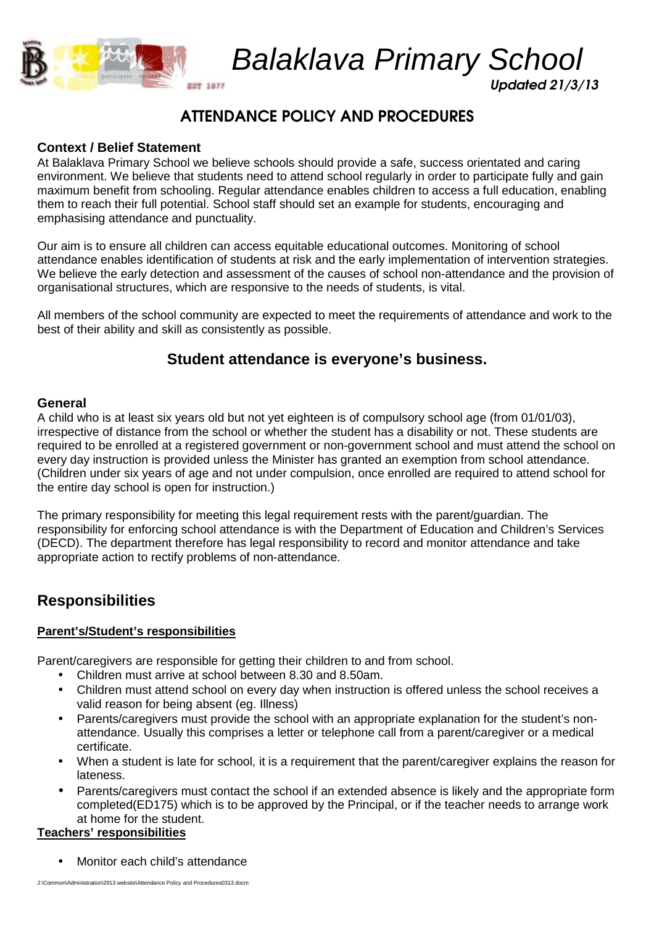

Balaklava Primary School

Updated 21/3/13

# ATTENDANCE POLICY AND PROCEDURES

## **Context / Belief Statement**

At Balaklava Primary School we believe schools should provide a safe, success orientated and caring environment. We believe that students need to attend school regularly in order to participate fully and gain maximum benefit from schooling. Regular attendance enables children to access a full education, enabling them to reach their full potential. School staff should set an example for students, encouraging and emphasising attendance and punctuality.

Our aim is to ensure all children can access equitable educational outcomes. Monitoring of school attendance enables identification of students at risk and the early implementation of intervention strategies. We believe the early detection and assessment of the causes of school non-attendance and the provision of organisational structures, which are responsive to the needs of students, is vital.

All members of the school community are expected to meet the requirements of attendance and work to the best of their ability and skill as consistently as possible.

## **Student attendance is everyone's business.**

#### **General**

A child who is at least six years old but not yet eighteen is of compulsory school age (from 01/01/03), irrespective of distance from the school or whether the student has a disability or not. These students are required to be enrolled at a registered government or non-government school and must attend the school on every day instruction is provided unless the Minister has granted an exemption from school attendance. (Children under six years of age and not under compulsion, once enrolled are required to attend school for the entire day school is open for instruction.)

The primary responsibility for meeting this legal requirement rests with the parent/guardian. The responsibility for enforcing school attendance is with the Department of Education and Children's Services (DECD). The department therefore has legal responsibility to record and monitor attendance and take appropriate action to rectify problems of non-attendance.

## **Responsibilities**

#### **Parent's/Student's responsibilities**

Parent/caregivers are responsible for getting their children to and from school.

- Children must arrive at school between 8.30 and 8.50am.
- Children must attend school on every day when instruction is offered unless the school receives a valid reason for being absent (eg. Illness)
- Parents/caregivers must provide the school with an appropriate explanation for the student's nonattendance. Usually this comprises a letter or telephone call from a parent/caregiver or a medical certificate.
- When a student is late for school, it is a requirement that the parent/caregiver explains the reason for lateness.
- Parents/caregivers must contact the school if an extended absence is likely and the appropriate form completed(ED175) which is to be approved by the Principal, or if the teacher needs to arrange work at home for the student.

### **Teachers' responsibilities**

• Monitor each child's attendance